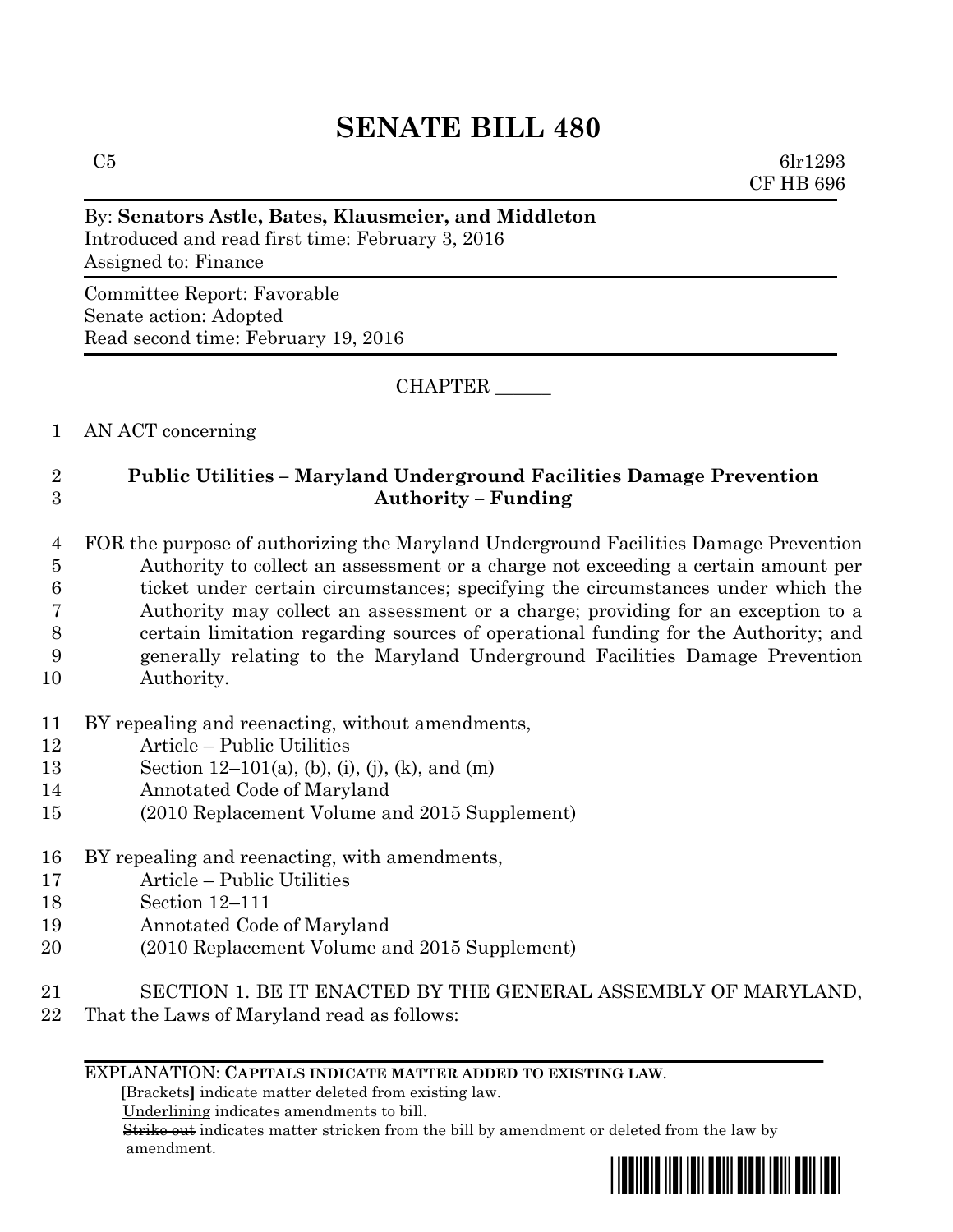# **SENATE BILL 480**

 $C5$  6lr1293 CF HB 696

## By: **Senators Astle, Bates, Klausmeier, and Middleton** Introduced and read first time: February 3, 2016 Assigned to: Finance Committee Report: Favorable Senate action: Adopted Read second time: February 19, 2016

CHAPTER \_\_\_\_\_\_

1 AN ACT concerning

### 2 **Public Utilities – Maryland Underground Facilities Damage Prevention**  3 **Authority – Funding**

 FOR the purpose of authorizing the Maryland Underground Facilities Damage Prevention Authority to collect an assessment or a charge not exceeding a certain amount per ticket under certain circumstances; specifying the circumstances under which the Authority may collect an assessment or a charge; providing for an exception to a certain limitation regarding sources of operational funding for the Authority; and generally relating to the Maryland Underground Facilities Damage Prevention Authority.

- 11 BY repealing and reenacting, without amendments,
- 12 Article Public Utilities
- 13 Section 12–101(a), (b), (i), (j), (k), and (m)
- 14 Annotated Code of Maryland
- 15 (2010 Replacement Volume and 2015 Supplement)
- 16 BY repealing and reenacting, with amendments,
- 17 Article Public Utilities
- 18 Section 12–111
- 19 Annotated Code of Maryland
- 20 (2010 Replacement Volume and 2015 Supplement)
- 21 SECTION 1. BE IT ENACTED BY THE GENERAL ASSEMBLY OF MARYLAND,
- 22 That the Laws of Maryland read as follows:

### EXPLANATION: **CAPITALS INDICATE MATTER ADDED TO EXISTING LAW**.

 **[**Brackets**]** indicate matter deleted from existing law.

Underlining indicates amendments to bill.

 Strike out indicates matter stricken from the bill by amendment or deleted from the law by amendment.

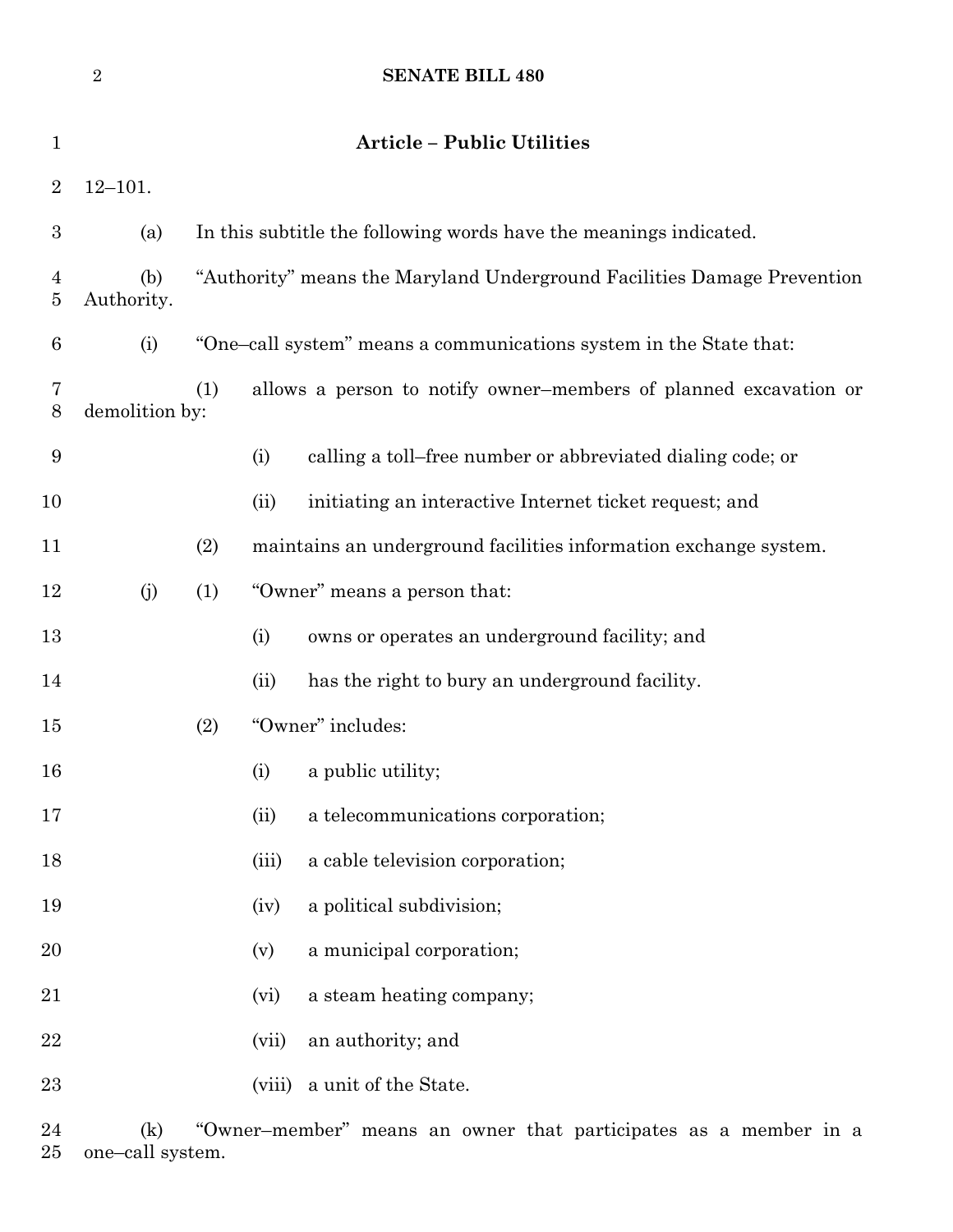|                     | $\overline{2}$    | <b>SENATE BILL 480</b>                                                  |                   |                                                                  |
|---------------------|-------------------|-------------------------------------------------------------------------|-------------------|------------------------------------------------------------------|
| $\mathbf{1}$        |                   |                                                                         |                   | <b>Article - Public Utilities</b>                                |
| $\overline{2}$      | $12 - 101.$       |                                                                         |                   |                                                                  |
| $\boldsymbol{3}$    | (a)               | In this subtitle the following words have the meanings indicated.       |                   |                                                                  |
| $\overline{4}$<br>5 | (b)<br>Authority. | "Authority" means the Maryland Underground Facilities Damage Prevention |                   |                                                                  |
| 6                   | (i)               | "One-call system" means a communications system in the State that:      |                   |                                                                  |
| 7<br>8              | demolition by:    | (1)<br>allows a person to notify owner-members of planned excavation or |                   |                                                                  |
| $\boldsymbol{9}$    |                   | (i)                                                                     |                   | calling a toll-free number or abbreviated dialing code; or       |
| 10                  |                   | (ii)                                                                    |                   | initiating an interactive Internet ticket request; and           |
| 11                  |                   | (2)                                                                     |                   | maintains an underground facilities information exchange system. |
| 12                  | (j)               | "Owner" means a person that:<br>(1)                                     |                   |                                                                  |
| 13                  |                   | (i)                                                                     |                   | owns or operates an underground facility; and                    |
| 14                  |                   | (ii)                                                                    |                   | has the right to bury an underground facility.                   |
| 15                  |                   | "Owner" includes:<br>(2)                                                |                   |                                                                  |
| 16                  |                   | (i)                                                                     | a public utility; |                                                                  |
| 17                  |                   | (ii)                                                                    |                   | a telecommunications corporation;                                |
| 18                  |                   |                                                                         | (iii)             | a cable television corporation;                                  |
| 19                  |                   |                                                                         | (iv)              | a political subdivision;                                         |
| 20                  |                   | (v)                                                                     |                   | a municipal corporation;                                         |
| 21                  |                   |                                                                         | (vi)              | a steam heating company;                                         |
| 22                  |                   |                                                                         | (vii)             | an authority; and                                                |
| 23                  |                   |                                                                         | (viii)            | a unit of the State.                                             |
| 24                  | (k)               | "Owner-member" means an owner that participates as a member in a        |                   |                                                                  |

one–call system.